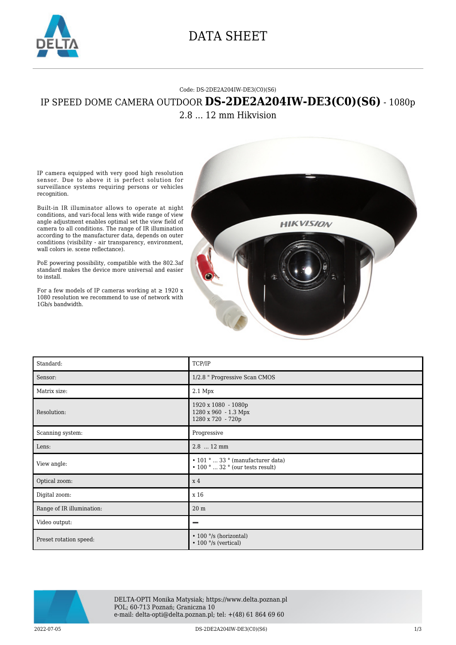

## DATA SHEET

## Code: DS-2DE2A204IW-DE3(C0)(S6) IP SPEED DOME CAMERA OUTDOOR **DS-2DE2A204IW-DE3(C0)(S6)** - 1080p 2.8 ... 12 mm Hikvision

IP camera equipped with very good high resolution sensor. Due to above it is perfect solution for surveillance systems requiring persons or vehicles recognition.

Built-in IR illuminator allows to operate at night conditions, and vari-focal lens with wide range of view angle adjustment enables optimal set the view field of camera to all conditions. The range of IR illumination according to the manufacturer data, depends on outer conditions (visibility - air transparency, environment, wall colors ie. scene reflectance).

PoE powering possibility, compatible with the 802.3af standard makes the device more universal and easier to install.

For a few models of IP cameras working at  $\geq$  1920 x 1080 resolution we recommend to use of network with 1Gb/s bandwidth.



| Standard:                 | TCP/IP                                                                                                 |
|---------------------------|--------------------------------------------------------------------------------------------------------|
| Sensor:                   | 1/2.8 " Progressive Scan CMOS                                                                          |
| Matrix size:              | 2.1 Mpx                                                                                                |
| Resolution:               | 1920 x 1080 - 1080p<br>1280 x 960 - 1.3 Mpx<br>1280 x 720 - 720p                                       |
| Scanning system:          | Progressive                                                                                            |
| Lens:                     | 2.8  12 mm                                                                                             |
| View angle:               | $\bullet$ 101 °  33 ° (manufacturer data)<br>$\bullet$ 100 $^{\circ}$ 32 $^{\circ}$ (our tests result) |
| Optical zoom:             | x <sub>4</sub>                                                                                         |
| Digital zoom:             | x 16                                                                                                   |
| Range of IR illumination: | $20\ {\rm m}$                                                                                          |
| Video output:             | −                                                                                                      |
| Preset rotation speed:    | $\cdot$ 100 $\degree$ /s (horizontal)<br>$\cdot$ 100 $\degree$ /s (vertical)                           |



DELTA-OPTI Monika Matysiak; https://www.delta.poznan.pl POL; 60-713 Poznań; Graniczna 10 e-mail: delta-opti@delta.poznan.pl; tel: +(48) 61 864 69 60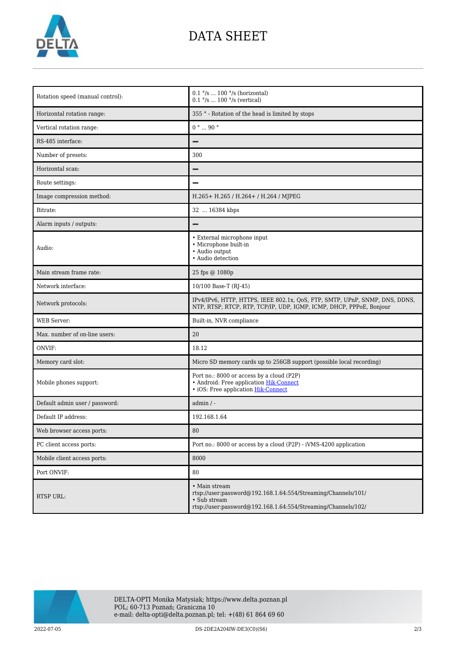

## DATA SHEET

| Rotation speed (manual control): | $0.1$ °/s $\dots$ 100 °/s (horizontal)<br>$0.1$ °/s  100 °/s (vertical)                                                                                         |
|----------------------------------|-----------------------------------------------------------------------------------------------------------------------------------------------------------------|
| Horizontal rotation range:       | 355 ° - Rotation of the head is limited by stops                                                                                                                |
| Vertical rotation range:         | $0° \dots 90°$                                                                                                                                                  |
| RS-485 interface:                |                                                                                                                                                                 |
| Number of presets:               | 300                                                                                                                                                             |
| Horizontal scan:                 |                                                                                                                                                                 |
| Route settings:                  |                                                                                                                                                                 |
| Image compression method:        | H.265+ H.265 / H.264+ / H.264 / MJPEG                                                                                                                           |
| Bitrate:                         | 32  16384 kbps                                                                                                                                                  |
| Alarm inputs / outputs:          |                                                                                                                                                                 |
| Audio:                           | • External microphone input<br>• Microphone built-in<br>• Audio output<br>· Audio detection                                                                     |
| Main stream frame rate:          | 25 fps @ 1080p                                                                                                                                                  |
| Network interface:               | 10/100 Base-T (RJ-45)                                                                                                                                           |
| Network protocols:               | IPv4/IPv6, HTTP, HTTPS, IEEE 802.1x, QoS, FTP, SMTP, UPnP, SNMP, DNS, DDNS,<br>NTP, RTSP, RTCP, RTP, TCP/IP, UDP, IGMP, ICMP, DHCP, PPPoE, Bonjour              |
| <b>WEB</b> Server:               | Built-in, NVR compliance                                                                                                                                        |
| Max. number of on-line users:    | 20                                                                                                                                                              |
| ONVIF:                           | 18.12                                                                                                                                                           |
| Memory card slot:                | Micro SD memory cards up to 256GB support (possible local recording)                                                                                            |
| Mobile phones support:           | Port no.: 8000 or access by a cloud (P2P)<br>• Android: Free application Hik-Connect<br>· iOS: Free application Hik-Connect                                     |
| Default admin user / password:   | $admin / -$                                                                                                                                                     |
| Default IP address:              | 192.168.1.64                                                                                                                                                    |
| Web browser access ports:        | 80                                                                                                                                                              |
| PC client access ports:          | Port no.: 8000 or access by a cloud (P2P) - iVMS-4200 application                                                                                               |
| Mobile client access ports:      | 8000                                                                                                                                                            |
| Port ONVIF:                      | 80                                                                                                                                                              |
| <b>RTSP URL:</b>                 | • Main stream<br>rtsp://user:password@192.168.1.64:554/Streaming/Channels/101/<br>• Sub stream<br>rtsp://user:password@192.168.1.64:554/Streaming/Channels/102/ |